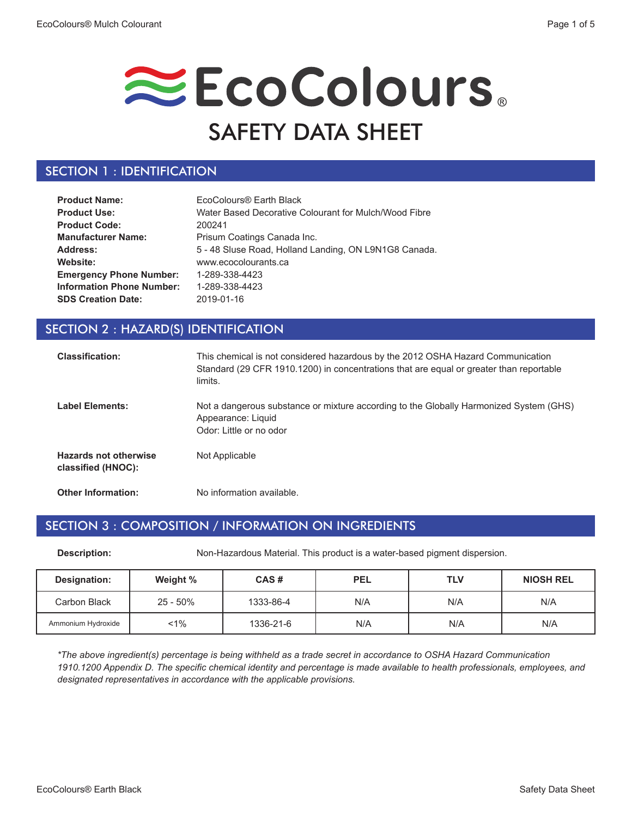

# SECTION 1 : IDENTIFICATION

| <b>Product Name:</b>             | EcoColours® Earth Black                               |
|----------------------------------|-------------------------------------------------------|
| <b>Product Use:</b>              | Water Based Decorative Colourant for Mulch/Wood Fibre |
| <b>Product Code:</b>             | 200241                                                |
| <b>Manufacturer Name:</b>        | Prisum Coatings Canada Inc.                           |
| Address:                         | 5 - 48 Sluse Road, Holland Landing, ON L9N1G8 Canada. |
| Website:                         | www.ecocolourants.ca                                  |
| <b>Emergency Phone Number:</b>   | 1-289-338-4423                                        |
| <b>Information Phone Number:</b> | 1-289-338-4423                                        |
| <b>SDS Creation Date:</b>        | 2019-01-16                                            |

## SECTION 2 : HAZARD(S) IDENTIFICATION

| <b>Classification:</b>                             | This chemical is not considered hazardous by the 2012 OSHA Hazard Communication<br>Standard (29 CFR 1910.1200) in concentrations that are equal or greater than reportable<br>limits. |
|----------------------------------------------------|---------------------------------------------------------------------------------------------------------------------------------------------------------------------------------------|
| <b>Label Elements:</b>                             | Not a dangerous substance or mixture according to the Globally Harmonized System (GHS)<br>Appearance: Liquid<br>Odor: Little or no odor                                               |
| <b>Hazards not otherwise</b><br>classified (HNOC): | Not Applicable                                                                                                                                                                        |
| <b>Other Information:</b>                          | No information available.                                                                                                                                                             |

# SECTION 3 : COMPOSITION / INFORMATION ON INGREDIENTS

**Description:** Non-Hazardous Material. This product is a water-based pigment dispersion.

| Designation:       | Weight %    | CAS#      | <b>PEL</b> | <b>TLV</b> | <b>NIOSH REL</b> |
|--------------------|-------------|-----------|------------|------------|------------------|
| Carbon Black       | $25 - 50\%$ | 1333-86-4 | N/A        | N/A        | N/A              |
| Ammonium Hydroxide | $< 1\%$     | 1336-21-6 | N/A        | N/A        | N/A              |

*\*The above ingredient(s) percentage is being withheld as a trade secret in accordance to OSHA Hazard Communication 1910.1200 Appendix D. The specific chemical identity and percentage is made available to health professionals, employees, and designated representatives in accordance with the applicable provisions.*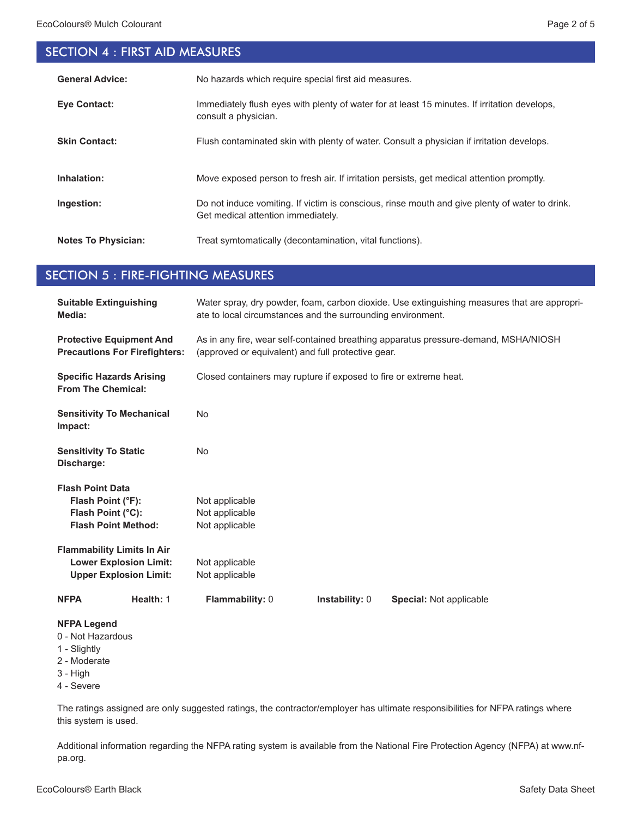# SECTION 4 : FIRST AID MEASURES

| <b>General Advice:</b>     | No hazards which require special first aid measures.                                                                                 |
|----------------------------|--------------------------------------------------------------------------------------------------------------------------------------|
| <b>Eve Contact:</b>        | Immediately flush eyes with plenty of water for at least 15 minutes. If irritation develops,<br>consult a physician.                 |
| <b>Skin Contact:</b>       | Flush contaminated skin with plenty of water. Consult a physician if irritation develops.                                            |
| Inhalation:                | Move exposed person to fresh air. If irritation persists, get medical attention promptly.                                            |
| Ingestion:                 | Do not induce vomiting. If victim is conscious, rinse mouth and give plenty of water to drink.<br>Get medical attention immediately. |
| <b>Notes To Physician:</b> | Treat symtomatically (decontamination, vital functions).                                                                             |

# SECTION 5 : FIRE-FIGHTING MEASURES

| <b>Suitable Extinguishing</b><br>Media:                                                             | Water spray, dry powder, foam, carbon dioxide. Use extinguishing measures that are appropri-<br>ate to local circumstances and the surrounding environment. |
|-----------------------------------------------------------------------------------------------------|-------------------------------------------------------------------------------------------------------------------------------------------------------------|
| <b>Protective Equipment And</b><br><b>Precautions For Firefighters:</b>                             | As in any fire, wear self-contained breathing apparatus pressure-demand, MSHA/NIOSH<br>(approved or equivalent) and full protective gear.                   |
| <b>Specific Hazards Arising</b><br><b>From The Chemical:</b>                                        | Closed containers may rupture if exposed to fire or extreme heat.                                                                                           |
| <b>Sensitivity To Mechanical</b><br>Impact:                                                         | <b>No</b>                                                                                                                                                   |
| <b>Sensitivity To Static</b><br>Discharge:                                                          | <b>No</b>                                                                                                                                                   |
| <b>Flash Point Data</b><br>Flash Point (°F):<br>Flash Point (°C):<br><b>Flash Point Method:</b>     | Not applicable<br>Not applicable<br>Not applicable                                                                                                          |
| <b>Flammability Limits In Air</b><br><b>Lower Explosion Limit:</b><br><b>Upper Explosion Limit:</b> | Not applicable<br>Not applicable                                                                                                                            |
| Health: 1<br><b>NFPA</b>                                                                            | Flammability: 0<br>Instability: 0<br>Special: Not applicable                                                                                                |
| <b>NFPA Legend</b><br>0 - Not Hazardous<br>1 - Slightly<br>2 - Moderate<br>$3 - High$<br>4 - Severe |                                                                                                                                                             |

The ratings assigned are only suggested ratings, the contractor/employer has ultimate responsibilities for NFPA ratings where this system is used.

Additional information regarding the NFPA rating system is available from the National Fire Protection Agency (NFPA) at www.nfpa.org.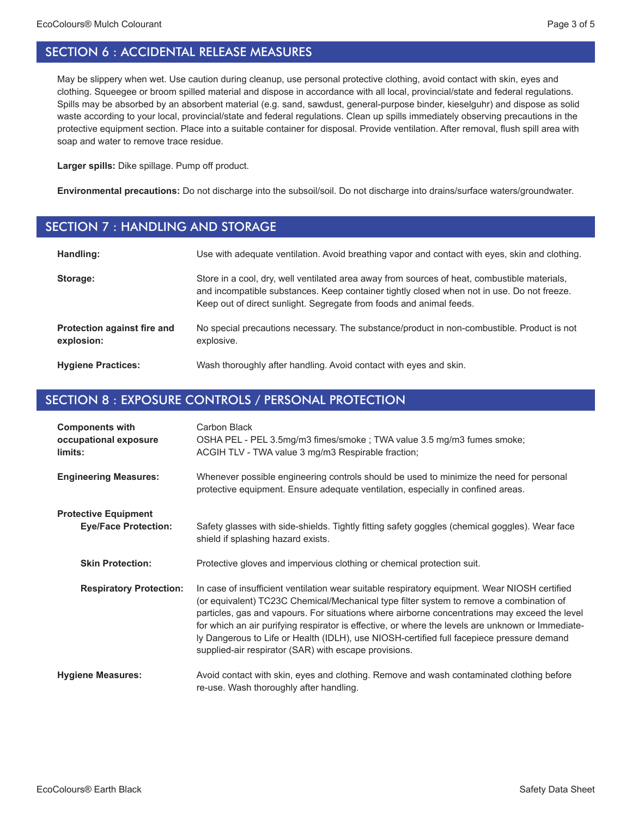May be slippery when wet. Use caution during cleanup, use personal protective clothing, avoid contact with skin, eyes and clothing. Squeegee or broom spilled material and dispose in accordance with all local, provincial/state and federal regulations. Spills may be absorbed by an absorbent material (e.g. sand, sawdust, general-purpose binder, kieselguhr) and dispose as solid waste according to your local, provincial/state and federal regulations. Clean up spills immediately observing precautions in the protective equipment section. Place into a suitable container for disposal. Provide ventilation. After removal, flush spill area with soap and water to remove trace residue.

**Larger spills:** Dike spillage. Pump off product.

**Environmental precautions:** Do not discharge into the subsoil/soil. Do not discharge into drains/surface waters/groundwater.

#### SECTION 7 : HANDLING AND STORAGE

| Handling:                                 | Use with adequate ventilation. Avoid breathing vapor and contact with eyes, skin and clothing.                                                                                                                                                                    |
|-------------------------------------------|-------------------------------------------------------------------------------------------------------------------------------------------------------------------------------------------------------------------------------------------------------------------|
| Storage:                                  | Store in a cool, dry, well ventilated area away from sources of heat, combustible materials,<br>and incompatible substances. Keep container tightly closed when not in use. Do not freeze.<br>Keep out of direct sunlight. Segregate from foods and animal feeds. |
| Protection against fire and<br>explosion: | No special precautions necessary. The substance/product in non-combustible. Product is not<br>explosive.                                                                                                                                                          |
| <b>Hygiene Practices:</b>                 | Wash thoroughly after handling. Avoid contact with eyes and skin.                                                                                                                                                                                                 |

# SECTION 8 : EXPOSURE CONTROLS / PERSONAL PROTECTION

| <b>Components with</b><br>occupational exposure<br>limits: | Carbon Black<br>OSHA PEL - PEL 3.5mg/m3 fimes/smoke ; TWA value 3.5 mg/m3 fumes smoke;<br>ACGIH TLV - TWA value 3 mg/m3 Respirable fraction;                                                                                                                                                                                                                                                                                                                                                                                                         |
|------------------------------------------------------------|------------------------------------------------------------------------------------------------------------------------------------------------------------------------------------------------------------------------------------------------------------------------------------------------------------------------------------------------------------------------------------------------------------------------------------------------------------------------------------------------------------------------------------------------------|
| <b>Engineering Measures:</b>                               | Whenever possible engineering controls should be used to minimize the need for personal<br>protective equipment. Ensure adequate ventilation, especially in confined areas.                                                                                                                                                                                                                                                                                                                                                                          |
| <b>Protective Equipment</b><br><b>Eye/Face Protection:</b> | Safety glasses with side-shields. Tightly fitting safety goggles (chemical goggles). Wear face<br>shield if splashing hazard exists.                                                                                                                                                                                                                                                                                                                                                                                                                 |
| <b>Skin Protection:</b>                                    | Protective gloves and impervious clothing or chemical protection suit.                                                                                                                                                                                                                                                                                                                                                                                                                                                                               |
| <b>Respiratory Protection:</b>                             | In case of insufficient ventilation wear suitable respiratory equipment. Wear NIOSH certified<br>(or equivalent) TC23C Chemical/Mechanical type filter system to remove a combination of<br>particles, gas and vapours. For situations where airborne concentrations may exceed the level<br>for which an air purifying respirator is effective, or where the levels are unknown or Immediate-<br>ly Dangerous to Life or Health (IDLH), use NIOSH-certified full facepiece pressure demand<br>supplied-air respirator (SAR) with escape provisions. |
| <b>Hygiene Measures:</b>                                   | Avoid contact with skin, eyes and clothing. Remove and wash contaminated clothing before<br>re-use. Wash thoroughly after handling.                                                                                                                                                                                                                                                                                                                                                                                                                  |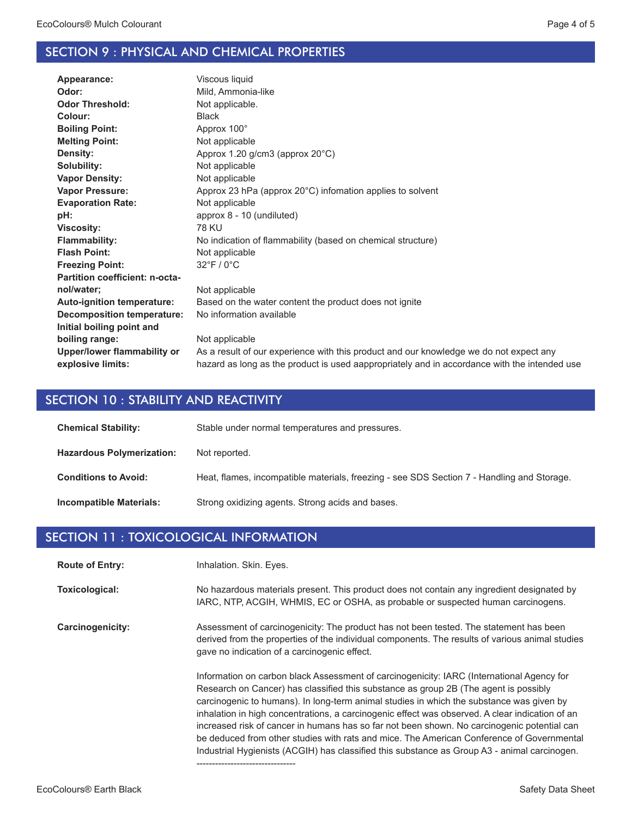### SECTION 9 : PHYSICAL AND CHEMICAL PROPERTIES

| Appearance:                       | Viscous liquid                                                                               |
|-----------------------------------|----------------------------------------------------------------------------------------------|
| Odor:                             | Mild, Ammonia-like                                                                           |
| <b>Odor Threshold:</b>            | Not applicable.                                                                              |
| Colour:                           | <b>Black</b>                                                                                 |
| <b>Boiling Point:</b>             | Approx 100°                                                                                  |
| <b>Melting Point:</b>             | Not applicable                                                                               |
| Density:                          | Approx 1.20 g/cm3 (approx 20°C)                                                              |
| Solubility:                       | Not applicable                                                                               |
| <b>Vapor Density:</b>             | Not applicable                                                                               |
| <b>Vapor Pressure:</b>            | Approx 23 hPa (approx 20°C) infomation applies to solvent                                    |
| <b>Evaporation Rate:</b>          | Not applicable                                                                               |
| pH:                               | approx 8 - 10 (undiluted)                                                                    |
| <b>Viscosity:</b>                 | <b>78 KU</b>                                                                                 |
| <b>Flammability:</b>              | No indication of flammability (based on chemical structure)                                  |
| <b>Flash Point:</b>               | Not applicable                                                                               |
| <b>Freezing Point:</b>            | $32^{\circ}$ F / 0 $^{\circ}$ C                                                              |
| Partition coefficient: n-octa-    |                                                                                              |
| nol/water;                        | Not applicable                                                                               |
| <b>Auto-ignition temperature:</b> | Based on the water content the product does not ignite                                       |
| <b>Decomposition temperature:</b> | No information available                                                                     |
| Initial boiling point and         |                                                                                              |
| boiling range:                    | Not applicable                                                                               |
| Upper/lower flammability or       | As a result of our experience with this product and our knowledge we do not expect any       |
| explosive limits:                 | hazard as long as the product is used aappropriately and in accordance with the intended use |
|                                   |                                                                                              |

### SECTION 10 : STABILITY AND REACTIVITY

| <b>Chemical Stability:</b>       | Stable under normal temperatures and pressures.                                            |
|----------------------------------|--------------------------------------------------------------------------------------------|
| <b>Hazardous Polymerization:</b> | Not reported.                                                                              |
| <b>Conditions to Avoid:</b>      | Heat, flames, incompatible materials, freezing - see SDS Section 7 - Handling and Storage. |
| <b>Incompatible Materials:</b>   | Strong oxidizing agents. Strong acids and bases.                                           |

#### SECTION 11 : TOXICOLOGICAL INFORMATION

Inhalation. Skin. Eyes. **Route of Entry:**

No hazardous materials present. This product does not contain any ingredient designated by IARC, NTP, ACGIH, WHMIS, EC or OSHA, as probable or suspected human carcinogens. **Toxicological:**

Assessment of carcinogenicity: The product has not been tested. The statement has been derived from the properties of the individual components. The results of various animal studies gave no indication of a carcinogenic effect. **Carcinogenicity:**

--------------------------------

Information on carbon black Assessment of carcinogenicity: IARC (International Agency for Research on Cancer) has classified this substance as group 2B (The agent is possibly carcinogenic to humans). In long-term animal studies in which the substance was given by inhalation in high concentrations, a carcinogenic effect was observed. A clear indication of an increased risk of cancer in humans has so far not been shown. No carcinogenic potential can be deduced from other studies with rats and mice. The American Conference of Governmental Industrial Hygienists (ACGIH) has classified this substance as Group A3 - animal carcinogen.